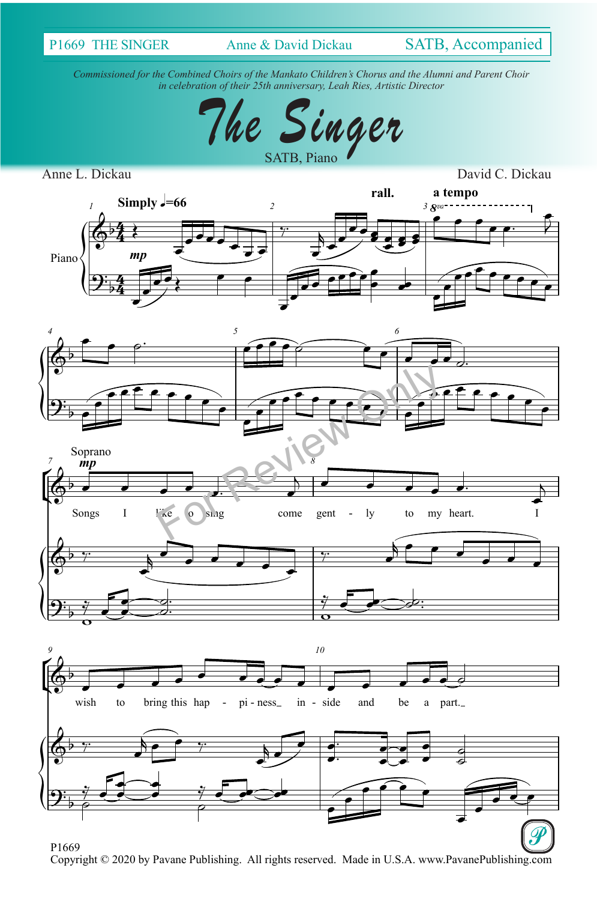P1669 THE SINGER Anne & David Dickau SATB, Accompanied

*Commissioned for the Combined Choirs of the Mankato Children's Chorus in celebration of their 25th anniversary, Leah Ries, Artistic Director Commissioned for the Combined Choirs of the Mankato Children's Chorus and the Alumni and Parent Choir* 



Anne L. Dickau









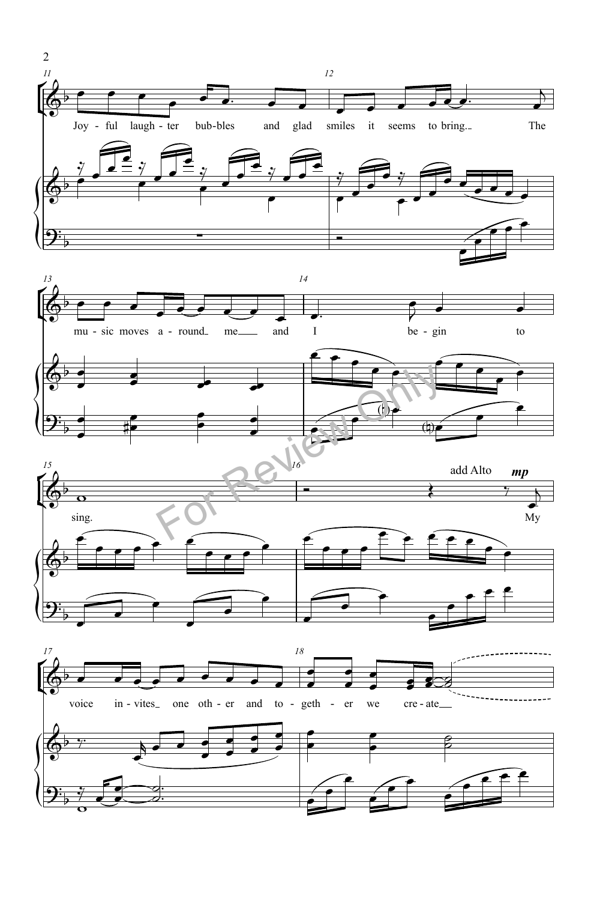



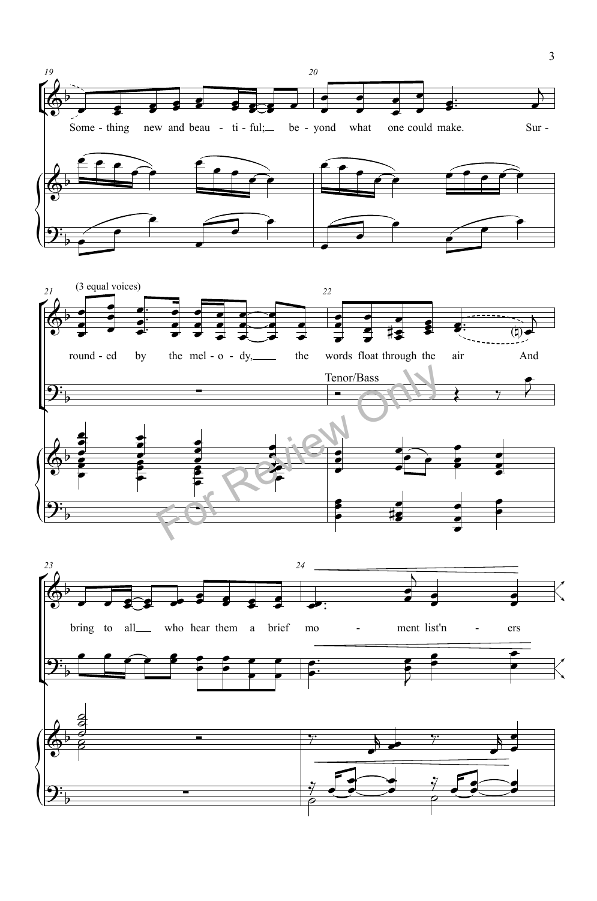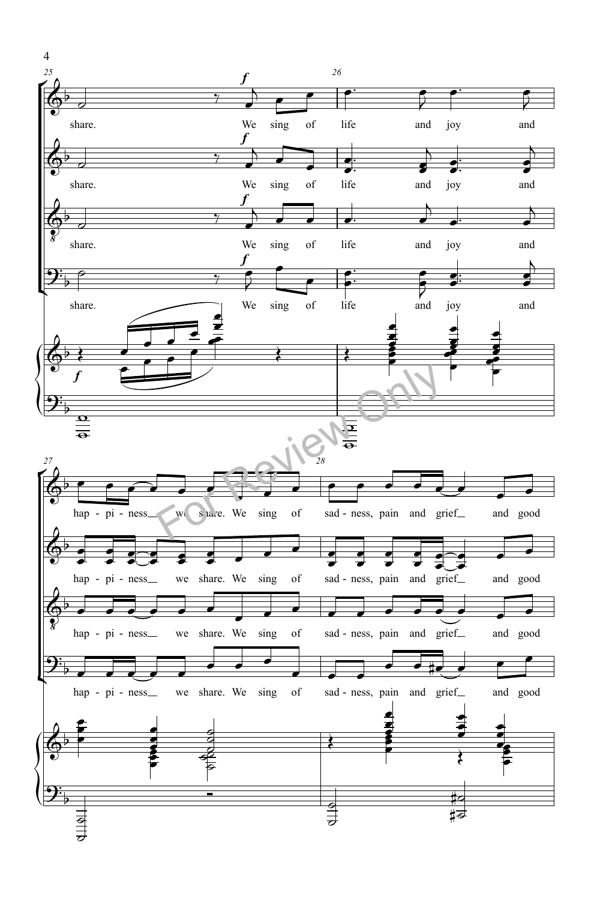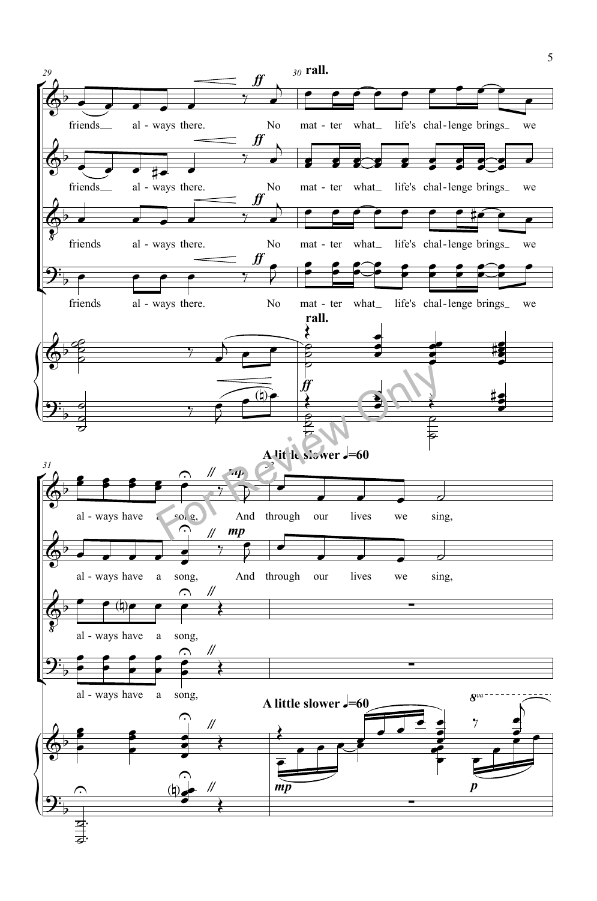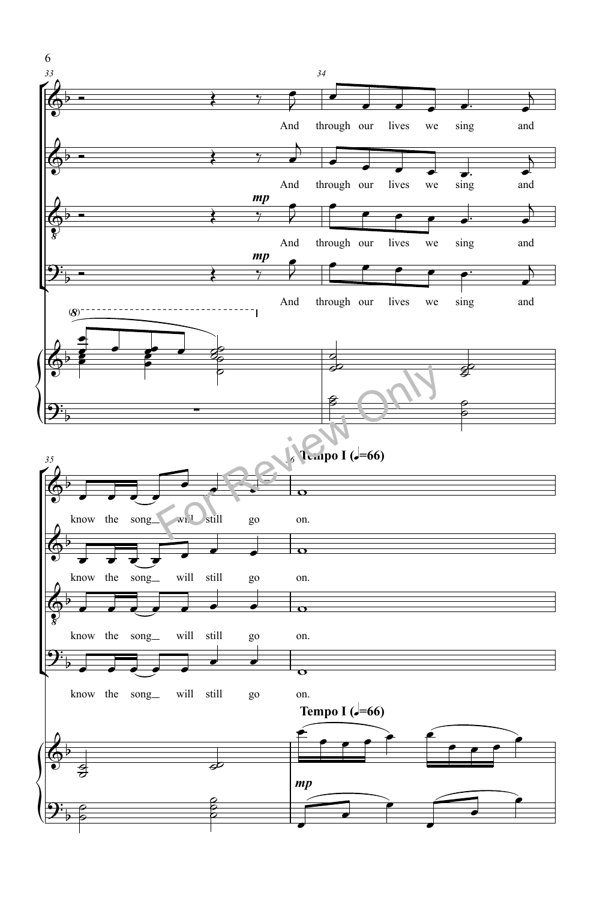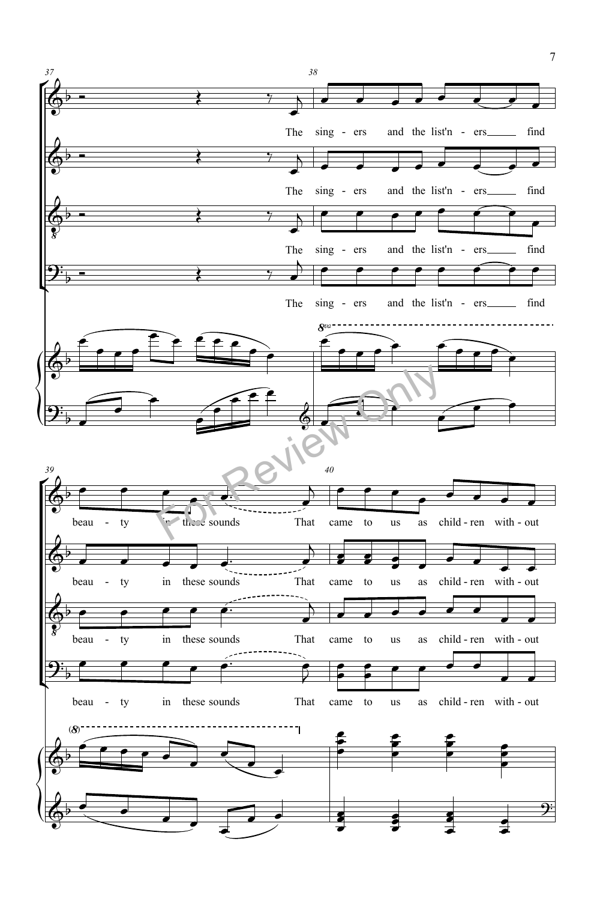

7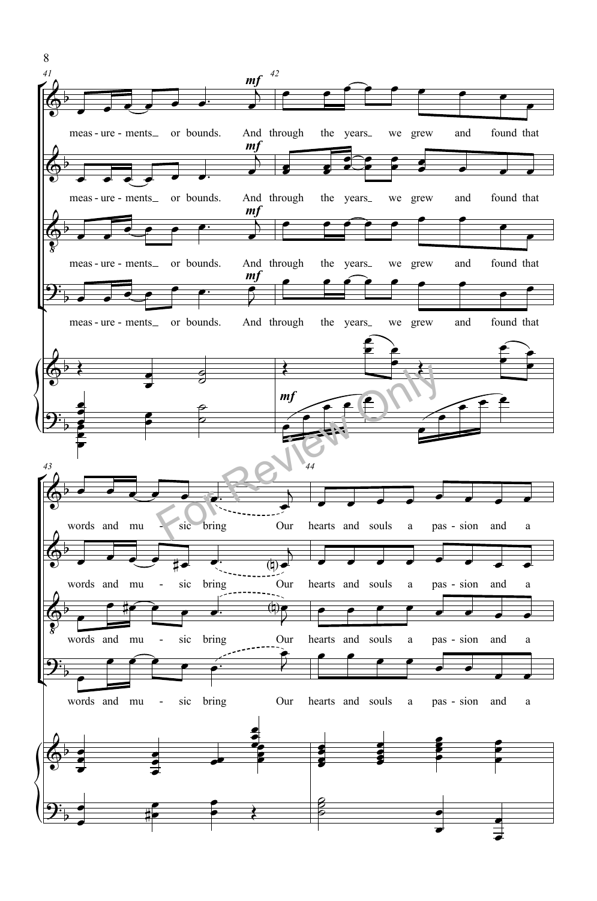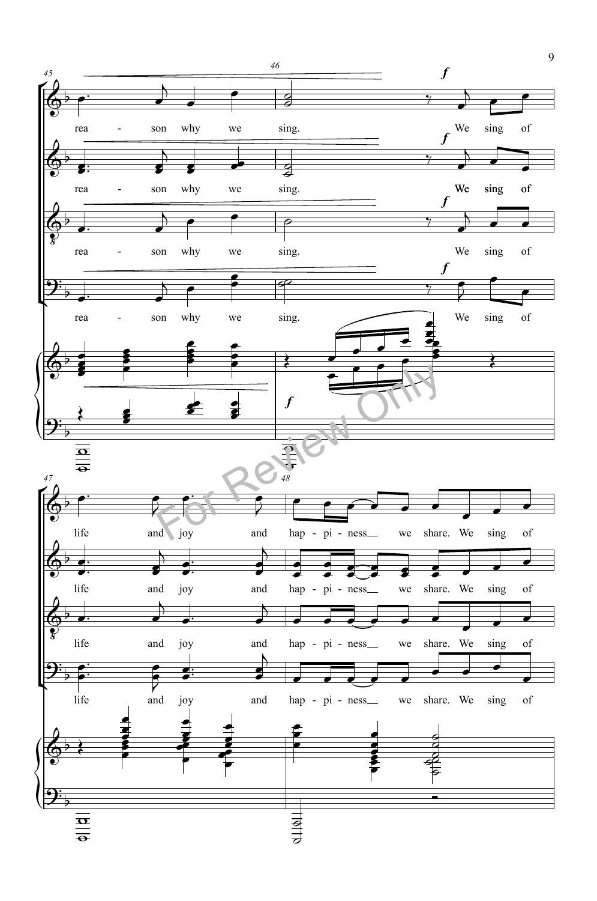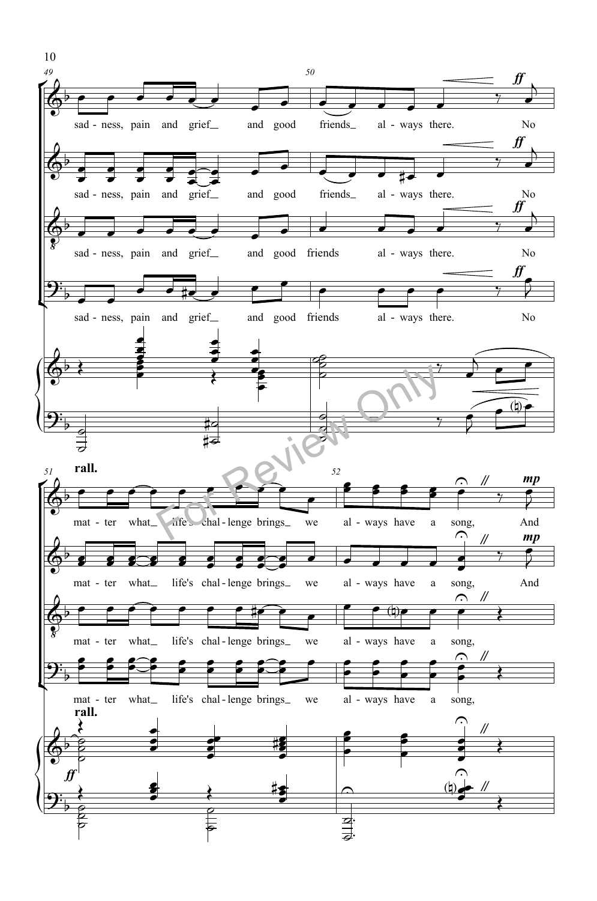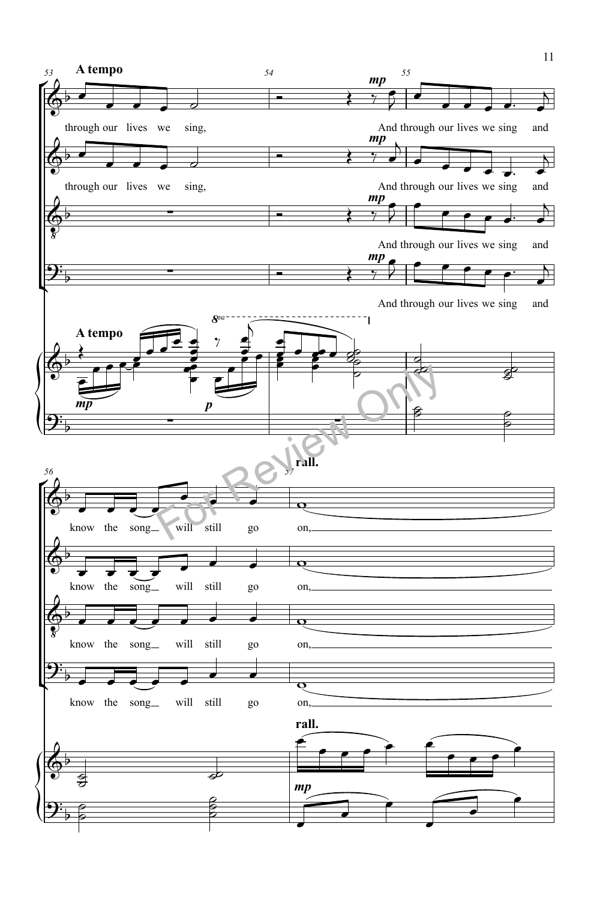